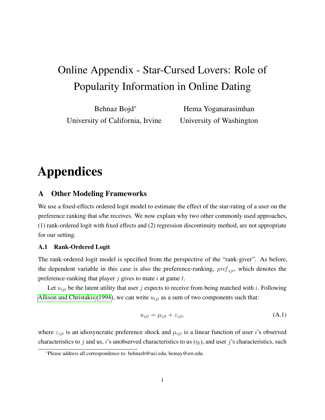# <span id="page-0-0"></span>Online Appendix - Star-Cursed Lovers: Role of Popularity Information in Online Dating

Behnaz Bojd\* University of California, Irvine

Hema Yoganarasimhan University of Washington

# Appendices

## A Other Modeling Frameworks

We use a fixed-effects ordered logit model to estimate the effect of the star-rating of a user on the preference ranking that s/he receives. We now explain why two other commonly used approaches, (1) rank-ordered logit with fixed effects and (2) regression discontinuity method, are not appropriate for our setting.

#### A.1 Rank-Ordered Logit

The rank-ordered logit model is specified from the perspective of the "rank-giver". As before, the dependent variable in this case is also the preference-ranking,  $pref_{ijt}$ , which denotes the preference-ranking that player  $j$  gives to mate  $i$  at game  $t$ .

Let  $u_{ijt}$  be the latent utility that user j expects to receive from being matched with i. Following [Allison and Christakis](#page-15-0) [\(1994\)](#page-15-0), we can write  $u_{ijt}$  as a sum of two components such that:

$$
u_{ijt} = \mu_{ijt} + \varepsilon_{ijt}, \tag{A.1}
$$

where  $\varepsilon_{ijt}$  is an idiosyncratic preference shock and  $\mu_{ijt}$  is a linear function of user *i*'s observed characteristics to j and us, i's unobserved characteristics to us  $(\eta_i)$ , and user j's characteristics, such

<sup>\*</sup>Please address all correspondence to: behnazb@uci.edu, hemay@uw.edu.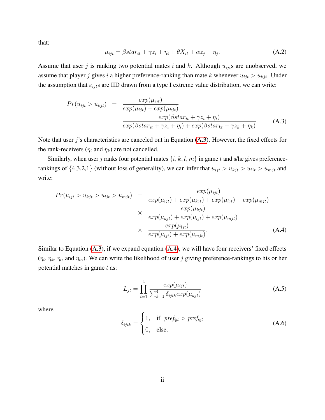that:

$$
\mu_{ijt} = \beta star_{it} + \gamma z_i + \eta_i + \theta X_{it} + \alpha z_j + \eta_j. \tag{A.2}
$$

Assume that user j is ranking two potential mates i and k. Although  $u_{ijt}$ s are unobserved, we assume that player j gives i a higher preference-ranking than mate k whenever  $u_{ijt} > u_{kjt}$ . Under the assumption that  $\varepsilon_{ijt}$ s are IID drawn from a type I extreme value distribution, we can write:

<span id="page-1-0"></span>
$$
Pr(u_{ijt} > u_{kjt}) = \frac{exp(\mu_{ijt})}{exp(\mu_{ijt}) + exp(\mu_{kjt})}
$$
  
= 
$$
\frac{exp(\beta star_{it} + \gamma z_i + \eta_i)}{exp(\beta star_{it} + \gamma z_i + \eta_i) + exp(\beta star_{kt} + \gamma z_k + \eta_k)}.
$$
 (A.3)

Note that user j's characteristics are canceled out in Equation [\(A.3\)](#page-1-0). However, the fixed effects for the rank-receivers  $(\eta_i$  and  $\eta_k$ ) are not cancelled.

Similarly, when user j ranks four potential mates  $\{i, k, l, m\}$  in game t and s/he gives preferencerankings of  $\{4,3,2,1\}$  (without loss of generality), we can infer that  $u_{ijt} > u_{kjt} > u_{ijt} > u_{mjt}$  and write:

<span id="page-1-1"></span>
$$
Pr(u_{ijt} > u_{kjt} > u_{ijt}) = \frac{exp(\mu_{ijt})}{exp(\mu_{ijt}) + exp(\mu_{kjt}) + exp(\mu_{ljt}) + exp(\mu_{mjt})}
$$

$$
\times \frac{exp(\mu_{kjt})}{exp(\mu_{kjt}) + exp(\mu_{ljt}) + exp(\mu_{mjt})}
$$

$$
\times \frac{exp(\mu_{ljt})}{exp(\mu_{ljt}) + exp(\mu_{mjt})}.
$$
(A.4)

Similar to Equation [\(A.3\)](#page-1-0), if we expand equation [\(A.4\)](#page-1-1), we will have four receivers' fixed effects  $(\eta_i, \eta_k, \eta_l)$ , and  $\eta_m$ ). We can write the likelihood of user j giving preference-rankings to his or her potential matches in game  $t$  as:

$$
L_{jt} = \prod_{i=1}^{4} \frac{exp(\mu_{ijt})}{\sum_{k=1}^{4} \delta_{ijtk} exp(\mu_{kjt})}
$$
 (A.5)

where

$$
\delta_{ijtk} = \begin{cases} 1, & \text{if } pref_{ijt} > pref_{kjt} \\ 0, & \text{else.} \end{cases}
$$
 (A.6)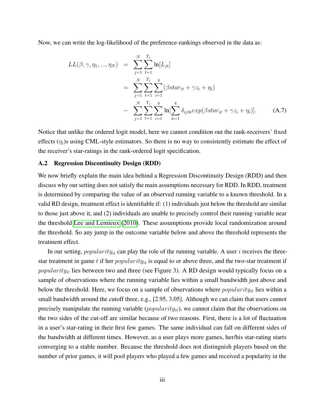Now, we can write the log-likelihood of the preference-rankings observed in the data as:

$$
LL(\beta, \gamma, \eta_1, ..., \eta_N) = \sum_{j=1}^N \sum_{t=1}^{T_j} \ln[L_{jt}]
$$
  
= 
$$
\sum_{j=1}^N \sum_{t=1}^{T_j} \sum_{i=1}^4 (\beta \operatorname{star}_{it} + \gamma z_i + \eta_i)
$$
  
- 
$$
\sum_{j=1}^N \sum_{t=1}^{T_j} \sum_{i=1}^4 \ln[\sum_{k=1}^4 \delta_{ijtk} \exp(\beta \operatorname{star}_{it} + \gamma z_i + \eta_i)].
$$
 (A.7)

Notice that unlike the ordered logit model, here we cannot condition out the rank-receivers' fixed effects  $(\eta_i)$ s using CML-style estimators. So there is no way to consistently estimate the effect of the receiver's star-ratings in the rank-ordered logit specification.

#### A.2 Regression Discontinuity Design (RDD)

We now briefly explain the main idea behind a Regression Discontinuity Design (RDD) and then discuss why our setting does not satisfy the main assumptions necessary for RDD. In RDD, treatment is determined by comparing the value of an observed running variable to a known threshold. In a valid RD design, treatment effect is identifiable if: (1) individuals just below the threshold are similar to those just above it, and (2) individuals are unable to precisely control their running variable near the threshold [Lee and Lemieux](#page-15-1) [\(2010\)](#page-15-1). These assumptions provide local randomization around the threshold. So any jump in the outcome variable below and above the threshold represents the treatment effect.

In our setting,  $popularity_{it}$  can play the role of the running variable. A user i receives the threestar treatment in game t if her  $popularity_{it}$  is equal to or above three, and the two-star treatment if  $popularity_{it}$  lies between two and three (see Figure 3). A RD design would typically focus on a sample of observations where the running variable lies within a small bandwidth just above and below the threshold. Here, we focus on a sample of observations where  $popularity_{it}$  lies within a small bandwidth around the cutoff three, e.g., [2.95, 3.05]. Although we can claim that users cannot precisely manipulate the running variable  $(popularity_{it})$ , we cannot claim that the observations on the two sides of the cut-off are similar because of two reasons. First, there is a lot of fluctuation in a user's star-rating in their first few games. The same individual can fall on different sides of the bandwidth at different times. However, as a user plays more games, her/his star-rating starts converging to a stable number. Because the threshold does not distinguish players based on the number of prior games, it will pool players who played a few games and received a popularity in the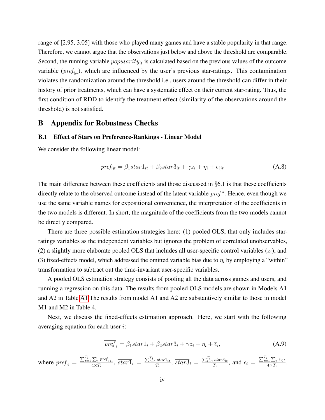range of [2.95, 3.05] with those who played many games and have a stable popularity in that range. Therefore, we cannot argue that the observations just below and above the threshold are comparable. Second, the running variable *popularity<sub>it</sub>* is calculated based on the previous values of the outcome variable ( $pref_{ijt}$ ), which are influenced by the user's previous star-ratings. This contamination violates the randomization around the threshold i.e., users around the threshold can differ in their history of prior treatments, which can have a systematic effect on their current star-rating. Thus, the first condition of RDD to identify the treatment effect (similarity of the observations around the threshold) is not satisfied.

### B Appendix for Robustness Checks

#### B.1 Effect of Stars on Preference-Rankings - Linear Model

We consider the following linear model:

<span id="page-3-1"></span>
$$
pref_{ijt} = \beta_1star1_{it} + \beta_2star3_{it} + \gamma z_i + \eta_i + \epsilon_{ijt}
$$
\n(A.8)

The main difference between these coefficients and those discussed in  $\S6.1$  is that these coefficients directly relate to the observed outcome instead of the latent variable pref<sup>\*</sup>. Hence, even though we use the same variable names for expositional convenience, the interpretation of the coefficients in the two models is different. In short, the magnitude of the coefficients from the two models cannot be directly compared.

There are three possible estimation strategies here: (1) pooled OLS, that only includes starratings variables as the independent variables but ignores the problem of correlated unobservables, (2) a slightly more elaborate pooled OLS that includes all user-specific control variables  $(z_i)$ , and (3) fixed-effects model, which addressed the omitted variable bias due to  $\eta_i$  by employing a "within" transformation to subtract out the time-invariant user-specific variables.

A pooled OLS estimation strategy consists of pooling all the data across games and users, and running a regression on this data. The results from pooled OLS models are shown in Models A1 and A2 in Table [A1.](#page-4-0)The results from model A1 and A2 are substantively similar to those in model M1 and M2 in Table 4.

Next, we discuss the fixed-effects estimation approach. Here, we start with the following averaging equation for each user i:

<span id="page-3-0"></span>
$$
\overline{pref}_i = \beta_1 \overline{star1}_i + \beta_2 \overline{star3}_i + \gamma z_i + \eta_i + \overline{\epsilon}_i,
$$
\n(A.9)

where  $\overline{pref}_i = \frac{\sum_{t=1}^{T_i} \sum_j pref_{ijt}}{4 \times T_i}$  $\frac{\sum_j pref_{ijt}}{4\times T_i},\frac{1}{start}_i = \frac{\sum_{t=1}^{T_i}star1_{it}}{T_i}$  $\frac{star1_{it}}{T_i}$ ,  $\overline{star3}_i = \frac{\sum_{t=1}^{T_i}star3_{it}}{T_i}$  $\frac{star3_{it}}{T_i}$ , and  $\overline{\epsilon}_i = \frac{\sum_{t=1}^{T_i} \sum_j \epsilon_{ijt}}{4 \times T_i}$  $\frac{1}{4 \times T_i} \frac{L_j t}{T_i}$ .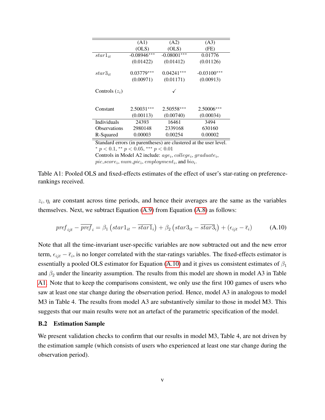<span id="page-4-0"></span>

|                       | (A1)          | (A2)          | (A3)               |
|-----------------------|---------------|---------------|--------------------|
|                       | (OLS)         | (OLS)         | (FE)               |
| $star_{1_{it}}$       | $-0.08946***$ | $-0.08001***$ | 0.01776            |
|                       | (0.01422)     | (0.01412)     | (0.01126)          |
| $star3_{it}$          | $0.03779***$  | $0.04241***$  | $-0.03100***$      |
|                       | (0.00971)     | (0.01171)     | (0.00913)          |
| Controls $(z_i)$      |               |               |                    |
| Constant              | $2.50031***$  | $2.50558***$  | $2.50006***$       |
|                       | (0.00113)     | (0.00740)     | (0.00034)          |
| <b>Individuals</b>    | 24393         | 16461         | 3494               |
| <b>Observations</b>   | 2980148       | 2339168       | 630160             |
| R-Squared             | 0.00003       | 0.00254       | 0.00002            |
| $1 \quad 1$<br>$\sim$ | $\cdot$ 1     |               | п.<br>$\mathbf{I}$ |

Standard errors (in parentheses) are clustered at the user level. \*  $p < 0.1$ , \*\*  $p < 0.05$ , \*\*\*  $p < 0.01$ Controls in Model A2 include:  $age_i, college_i, graduate_i,$ 

<span id="page-4-1"></span> $pic\_score_i, num\_pic_i, employment_i,$  and  $bio_i$ .

Table A1: Pooled OLS and fixed-effects estimates of the effect of user's star-rating on preferencerankings received.

 $z_i$ ,  $\eta_i$  are constant across time periods, and hence their averages are the same as the variables themselves. Next, we subtract Equation [\(A.9\)](#page-3-0) from Equation [\(A.8\)](#page-3-1) as follows:

$$
pref_{ijt}-\overline{pref}_i=\beta_1\left(star1_{it}-\overline{star1}_i\right)+\beta_2\left(star3_{it}-\overline{star3}_i\right)+\left(\epsilon_{ijt}-\overline{\epsilon}_i\right) \hspace{1cm} (A.10)
$$

Note that all the time-invariant user-specific variables are now subtracted out and the new error term,  $\epsilon_{ijt} - \bar{\epsilon}_i$ , is no longer correlated with the star-ratings variables. The fixed-effects estimator is essentially a pooled OLS estimator for Equation [\(A.10\)](#page-4-1) and it gives us consistent estimates of  $\beta_1$ and  $\beta_2$  under the linearity assumption. The results from this model are shown in model A3 in Table [A1.](#page-4-0) Note that to keep the comparisons consistent, we only use the first 100 games of users who saw at least one star change during the observation period. Hence, model A3 in analogous to model M3 in Table 4. The results from model A3 are substantively similar to those in model M3. This suggests that our main results were not an artefact of the parametric specification of the model.

#### <span id="page-4-2"></span>B.2 Estimation Sample

We present validation checks to confirm that our results in model M3, Table 4, are not driven by the estimation sample (which consists of users who experienced at least one star change during the observation period).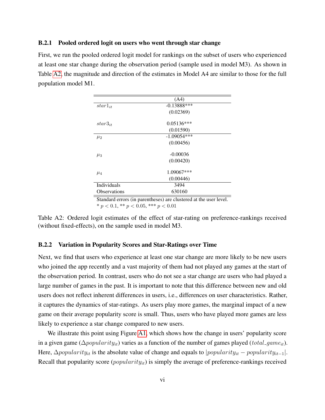#### B.2.1 Pooled ordered logit on users who went through star change

<span id="page-5-0"></span>First, we run the pooled ordered logit model for rankings on the subset of users who experienced at least one star change during the observation period (sample used in model M3). As shown in Table [A2,](#page-5-0) the magnitude and direction of the estimates in Model A4 are similar to those for the full population model M1.

| $-0.13888$ *** |      |
|----------------|------|
| (0.02369)      |      |
| $0.05136***$   |      |
| (0.01590)      |      |
| $-1.09054***$  |      |
| (0.00456)      |      |
| $-0.00036$     |      |
| (0.00420)      |      |
| 1.09067***     |      |
| (0.00446)      |      |
| 3494           |      |
| 630160         |      |
|                | (A4) |

Standard errors (in parentheses) are clustered at the user level.

\*  $p < 0.1$ , \*\*  $p < 0.05$ , \*\*\*  $p < 0.01$ 

Table A2: Ordered logit estimates of the effect of star-rating on preference-rankings received (without fixed-effects), on the sample used in model M3.

#### B.2.2 Variation in Popularity Scores and Star-Ratings over Time

Next, we find that users who experience at least one star change are more likely to be new users who joined the app recently and a vast majority of them had not played any games at the start of the observation period. In contrast, users who do not see a star change are users who had played a large number of games in the past. It is important to note that this difference between new and old users does not reflect inherent differences in users, i.e., differences on user characteristics. Rather, it captures the dynamics of star-ratings. As users play more games, the marginal impact of a new game on their average popularity score is small. Thus, users who have played more games are less likely to experience a star change compared to new users.

We illustrate this point using Figure [A1,](#page-6-0) which shows how the change in users' popularity score in a given game ( $\Delta popularity_{it}$ ) varies as a function of the number of games played (total game<sub>it</sub>). Here,  $\Delta$ *popularity<sub>it</sub>* is the absolute value of change and equals to |popularity<sub>it</sub> − popularity<sub>it-1</sub>|. Recall that popularity score  $(popularity_{it})$  is simply the average of preference-rankings received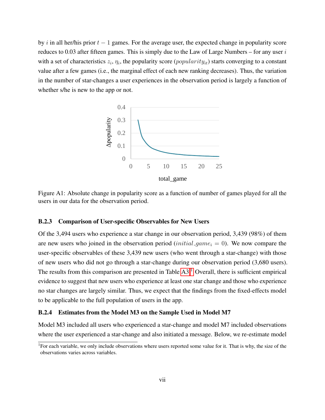<span id="page-6-0"></span>by i in all her/his prior  $t - 1$  games. For the average user, the expected change in popularity score reduces to 0.03 after fifteen games. This is simply due to the Law of Large Numbers – for any user  $i$ with a set of characteristics  $z_i$ ,  $\eta_i$ , the popularity score (*popularity<sub>it</sub>*) starts converging to a constant value after a few games (i.e., the marginal effect of each new ranking decreases). Thus, the variation in the number of star-changes a user experiences in the observation period is largely a function of whether s/he is new to the app or not.



Figure A1: Absolute change in popularity score as a function of number of games played for all the users in our data for the observation period.

#### B.2.3 Comparison of User-specific Observables for New Users

Of the 3,494 users who experience a star change in our observation period, 3,439 (98%) of them are new users who joined in the observation period  $(inital\_{game i} = 0)$ . We now compare the user-specific observables of these 3,439 new users (who went through a star-change) with those of new users who did not go through a star-change during our observation period (3,680 users). The results from this comparison are presented in Table  $A3<sup>1</sup>$  $A3<sup>1</sup>$  $A3<sup>1</sup>$  Overall, there is sufficient empirical evidence to suggest that new users who experience at least one star change and those who experience no star changes are largely similar. Thus, we expect that the findings from the fixed-effects model to be applicable to the full population of users in the app.

#### B.2.4 Estimates from the Model M3 on the Sample Used in Model M7

Model M3 included all users who experienced a star-change and model M7 included observations where the user experienced a star-change and also initiated a message. Below, we re-estimate model

<sup>&</sup>lt;sup>1</sup>For each variable, we only include observations where users reported some value for it. That is why, the size of the observations varies across variables.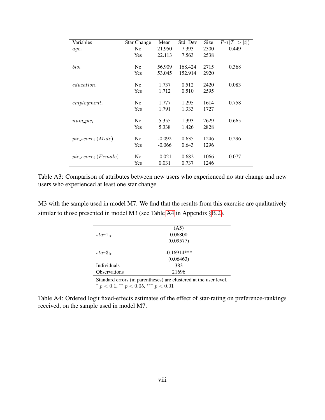<span id="page-7-0"></span>

| Variables               | <b>Star Change</b> | Mean     | Std. Dev | <b>Size</b> | t )<br>Pr( T <br>$\rm{>}$ |
|-------------------------|--------------------|----------|----------|-------------|---------------------------|
| $age_i$                 | N <sub>0</sub>     | 21.950   | 7.393    | 2300        | 0.449                     |
|                         | Yes                | 22.113   | 7.563    | 2538        |                           |
| $bio_i$                 | No                 | 56.909   | 168.424  | 2715        | 0.368                     |
|                         | Yes                | 53.045   | 152.914  | 2920        |                           |
| $education_i$           | N <sub>0</sub>     | 1.737    | 0.512    | 2420        | 0.083                     |
|                         | Yes                | 1.712    | 0.510    | 2595        |                           |
| $employment_i$          | N <sub>0</sub>     | 1.777    | 1.295    | 1614        | 0.758                     |
|                         | Yes                | 1.791    | 1.333    | 1727        |                           |
| $num\_pic_i$            | N <sub>0</sub>     | 5.355    | 1.393    | 2629        | 0.665                     |
|                         | <b>Yes</b>         | 5.338    | 1.426    | 2828        |                           |
| $pic\_score_i$ (Male)   | N <sub>0</sub>     | $-0.092$ | 0.635    | 1246        | 0.296                     |
|                         | <b>Yes</b>         | $-0.066$ | 0.643    | 1296        |                           |
| $pic\_score_i$ (Female) | N <sub>0</sub>     | $-0.021$ | 0.682    | 1066        | 0.077                     |
|                         | Yes                | 0.031    | 0.737    | 1246        |                           |

Table A3: Comparison of attributes between new users who experienced no star change and new users who experienced at least one star change.

<span id="page-7-1"></span>M3 with the sample used in model M7. We find that the results from this exercise are qualitatively similar to those presented in model M3 (see Table [A4](#page-7-1) in Appendix §[B.2\)](#page-4-2).

|                                                                   | (A5)          |  |
|-------------------------------------------------------------------|---------------|--|
| $star1_{it}$                                                      | 0.06800       |  |
|                                                                   | (0.09577)     |  |
| $star3_{it}$                                                      | $-0.16914***$ |  |
|                                                                   | (0.06463)     |  |
| <b>Individuals</b>                                                | 383           |  |
| <b>Observations</b>                                               | 21696         |  |
| Standard errors (in parentheses) are clustered at the user level. |               |  |

\*  $p < 0.1$ , \*\*  $p < 0.05$ , \*\*\*  $p < 0.01$ 

Table A4: Ordered logit fixed-effects estimates of the effect of star-rating on preference-rankings received, on the sample used in model M7.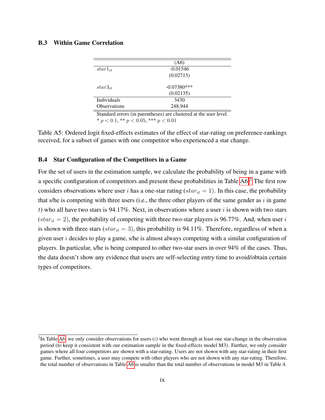#### B.3 Within Game Correlation

|                     | (A6)          |  |
|---------------------|---------------|--|
| $star1_{it}$        | $-0.01546$    |  |
|                     | (0.02713)     |  |
| $star3_{it}$        | $-0.07380***$ |  |
|                     | (0.02135)     |  |
| Individuals         | 3430          |  |
| <b>Observations</b> | 248,944       |  |

Standard errors (in parentheses) are clustered at the user level.  $* p < 0.1, ** p < 0.05, ** p < 0.01$ 

Table A5: Ordered logit fixed-effects estimates of the effect of star-rating on preference-rankings received, for a subset of games with one competitor who experienced a star change.

#### B.4 Star Configuration of the Competitors in a Game

For the set of users in the estimation sample, we calculate the probability of being in a game with a specific configuration of competitors and present these probabilities in Table [A6.](#page-9-0)[2](#page-0-0) The first row considers observations where user i has a one-star rating ( $star_{it} = 1$ ). In this case, the probability that s/he is competing with three users (i.e., the three other players of the same gender as  $i$  in game t) who all have two stars is 94.17%. Next, in observations where a user  $i$  is shown with two stars  $star_{it} = 2$ ), the probability of competing with three two-star players is 96.77%. And, when user i is shown with three stars ( $star_{it} = 3$ ), this probability is 94.11%. Therefore, regardless of when a given user  $i$  decides to play a game, s/he is almost always competing with a similar configuration of players. In particular, s/he is being compared to other two-star users in over 94% of the cases. Thus, the data doesn't show any evidence that users are self-selecting entry time to avoid/obtain certain types of competitors.

 $2$ In Table [A6,](#page-9-0) we only consider observations for users (*i*) who went through at least one star-change in the observation period (to keep it consistent with our estimation sample in the fixed-effects model M3). Further, we only consider games where all four competitors are shown with a star-rating. Users are not shown with any star-rating in their first game. Further, sometimes, a user may compete with other players who are not shown with any star-rating. Therefore, the total number of observations in Table [A6](#page-9-0) is smaller than the total number of observations in model M3 in Table 4.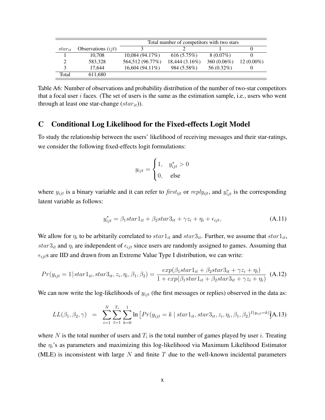<span id="page-9-0"></span>

|             |                      | Total number of competitors with two stars |                |                |              |
|-------------|----------------------|--------------------------------------------|----------------|----------------|--------------|
| $star_{it}$ | Observations $(ijt)$ |                                            |                |                |              |
|             | 10.708               | 10,084(94.17%)                             | 616(5.75%)     | $8(0.07\%)$    |              |
|             | 583,328              | 564,512 (96.77%)                           | 18,444 (3.16%) | 360 $(0.06\%)$ | $12(0.00\%)$ |
|             | 17.644               | $16,604(94.11\%)$                          | 984 (5.58%)    | 56 $(0.32\%)$  |              |
| Total       | 611,680              |                                            |                |                |              |

Table A6: Number of observations and probability distribution of the number of two-star competitors that a focal user  $i$  faces. (The set of users is the same as the estimation sample, i.e., users who went through at least one star-change  $star_{it})$ ).

## C Conditional Log Likelihood for the Fixed-effects Logit Model

To study the relationship between the users' likelihood of receiving messages and their star-ratings, we consider the following fixed-effects logit formulations:

$$
y_{ijt} = \begin{cases} 1, & y_{ijt}^* > 0 \\ 0, & \text{else} \end{cases}
$$

where  $y_{ijt}$  is a binary variable and it can refer to  $first_{ijt}$  or  $reply_{ijt}$ , and  $y_{ijt}^*$  is the corresponding latent variable as follows:

$$
y_{ijt}^* = \beta_1 star1_{it} + \beta_2 star3_{it} + \gamma z_i + \eta_i + \epsilon_{ijt}, \qquad (A.11)
$$

We allow for  $\eta_i$  to be arbitarily correlated to  $star1_{it}$  and  $star3_{it}$ . Further, we assume that  $star1_{it}$ ,  $star3_{it}$  and  $\eta_i$  are independent of  $\epsilon_{ijt}$  since users are randomly assigned to games. Assuming that  $\epsilon_{ijt}$ s are IID and drawn from an Extreme Value Type I distribution, we can write:

$$
Pr(y_{ijt} = 1 | star1_{it}, star3_{it}, z_i, \eta_i, \beta_1, \beta_2) = \frac{exp(\beta_1 star1_{it} + \beta_2 star3_{it} + \gamma z_i + \eta_i)}{1 + exp(\beta_1 star1_{it} + \beta_2 star3_{it} + \gamma z_i + \eta_i)}
$$
(A.12)

We can now write the log-likelihoods of  $y_{ijt}$  (the first messages or replies) observed in the data as:

$$
LL(\beta_1, \beta_2, \gamma) = \sum_{i=1}^{N} \sum_{t=1}^{T_i} \sum_{k=0}^{1} \ln \left[ Pr(y_{ijt} = k \mid star1_{it}, star3_{it}, z_i, \eta_i, \beta_1, \beta_2)^{I(y_{ijt} = k)} \right] \tag{A.13}
$$

where N is the total number of users and  $T_i$  is the total number of games played by user i. Treating the  $\eta_i$ 's as parameters and maximizing this log-likelihood via Maximum Likelihood Estimator (MLE) is inconsistent with large  $N$  and finite  $T$  due to the well-known incidental parameters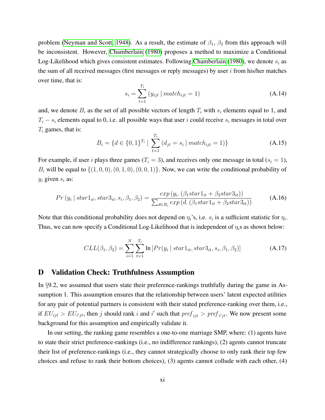problem [\(Neyman and Scott, 1948\)](#page-15-2). As a result, the estimate of  $\beta_1$ ,  $\beta_2$  from this approach will be inconsistent. However, [Chamberlain](#page-15-3) [\(1980\)](#page-15-3) proposes a method to maximize a Conditional Log-Likelihood which gives consistent estimates. Following [Chamberlain](#page-15-3) [\(1980\)](#page-15-3), we denote  $s_i$  as the sum of all received messages (first messages or reply messages) by user  $i$  from his/her matches over time, that is:

$$
s_i = \sum_{t=1}^{T_i} (y_{ijt} | match_{ijt} = 1)
$$
 (A.14)

and, we denote  $B_i$  as the set of all possible vectors of length  $T_i$  with  $s_i$  elements equal to 1, and  $T_i - s_i$  elements equal to 0, i.e. all possible ways that user i could receive  $s_i$  messages in total over  $T_i$  games, that is:

$$
B_i = \{d \in \{0, 1\}^{T_i} \mid \sum_{t=1}^{T_i} (d_{jt} = s_i \mid match_{ijt} = 1)\}
$$
 (A.15)

For example, if user i plays three games  $(T_i = 3)$ , and receives only one message in total  $(s_i = 1)$ ,  $B_i$  will be equal to  $\{(1, 0, 0), (0, 1, 0), (0, 0, 1)\}$ . Now, we can write the conditional probability of  $y_i$  given  $s_i$  as:

$$
Pr(y_i | star1_{it}, star3_{it}, s_i, \beta_1, \beta_2) = \frac{exp(y_i.(\beta_1 star1_{it} + \beta_2 star3_{it}))}{\sum_{d \in B_i} exp(d.(\beta_1 star1_{it} + \beta_2 star3_{it}))}
$$
(A.16)

Note that this conditional probability does not depend on  $\eta_i$ 's, i.e.  $s_i$  is a sufficient statistic for  $\eta_i$ . Thus, we can now specify a Conditional Log-Likelihood that is independent of  $\eta_i$ s as shown below:

$$
CLL(\beta_1, \beta_2) = \sum_{i=1}^{N} \sum_{t=1}^{T_i} \ln \left[ Pr(y_i \mid star1_{it}, star3_{it}, s_i, \beta_1, \beta_2) \right]
$$
(A.17)

### D Validation Check: Truthfulness Assumption

In §9.2, we assumed that users state their preference-rankings truthfully during the game in Assumption 1. This assumption ensures that the relationship between users' latent expected utilities for any pair of potential partners is consistent with their stated preference-ranking over them, i.e., if  $EU_{ijt} > EU_{i'jt}$ , then j should rank i and i' such that  $pref_{ijt} > pref_{i'jt}$ . We now present some background for this assumption and empirically validate it.

In our setting, the ranking game resembles a one-to-one marriage SMP, where: (1) agents have to state their strict preference-rankings (i.e., no indifference rankings), (2) agents cannot truncate their list of preference-rankings (i.e., they cannot strategically choose to only rank their top few choices and refuse to rank their bottom choices), (3) agents cannot collude with each other, (4)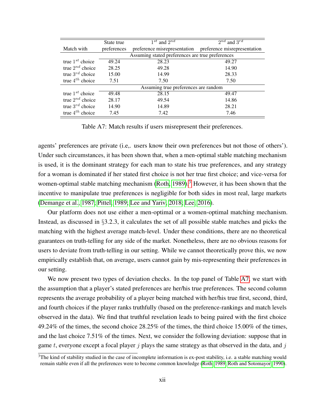<span id="page-11-0"></span>

|                      | State true                           | $1^{st}$ and $2^{nd}$                                     | $\overline{2^{nd}}$ and $3^{rd}$ |
|----------------------|--------------------------------------|-----------------------------------------------------------|----------------------------------|
| Match with           | preferences                          | preference misrepresentation preference misrepresentation |                                  |
|                      |                                      | Assuming stated preferences are true preferences          |                                  |
| true $1^{st}$ choice | 49.24                                | 28.23                                                     | 49.27                            |
| true $2^{nd}$ choice | 28.25                                | 49.28                                                     | 14.90                            |
| true $3^{rd}$ choice | 15.00                                | 14.99                                                     | 28.33                            |
| true $4^{th}$ choice | 7.51                                 | 7.50                                                      | 7.50                             |
|                      | Assuming true preferences are random |                                                           |                                  |
| true $1^{st}$ choice | 49.48                                | 28.15                                                     | 49.47                            |
| true $2^{nd}$ choice | 28.17                                | 49.54                                                     | 14.86                            |
| true $3^{rd}$ choice | 14.90                                | 14.89                                                     | 28.21                            |
| true $4^{th}$ choice | 7.45                                 | 7.42                                                      | 7.46                             |

Table A7: Match results if users misrepresent their preferences.

agents' preferences are private (i.e,. users know their own preferences but not those of others'). Under such circumstances, it has been shown that, when a men-optimal stable matching mechanism is used, it is the dominant strategy for each man to state his true preferences, and any strategy for a woman is dominated if her stated first choice is not her true first choice; and vice-versa for women-optimal stable matching mechanism [\(Roth, 1989\)](#page-15-4).<sup>[3](#page-0-0)</sup> However, it has been shown that the incentive to manipulate true preferences is negligible for both sides in most real, large markets [\(Demange et al., 1987;](#page-15-5) [Pittel, 1989;](#page-15-6) [Lee and Yariv, 2018;](#page-15-7) [Lee, 2016\)](#page-15-8).

Our platform does not use either a men-optimal or a women-optimal matching mechanism. Instead, as discussed in  $\S$ 3.2.3, it calculates the set of all possible stable matches and picks the matching with the highest average match-level. Under these conditions, there are no theoretical guarantees on truth-telling for any side of the market. Nonetheless, there are no obvious reasons for users to deviate from truth-telling in our setting. While we cannot theoretically prove this, we now empirically establish that, on average, users cannot gain by mis-representing their preferences in our setting.

We now present two types of deviation checks. In the top panel of Table [A7,](#page-11-0) we start with the assumption that a player's stated preferences are her/his true preferences. The second column represents the average probability of a player being matched with her/his true first, second, third, and fourth choices if the player ranks truthfully (based on the preference-rankings and match levels observed in the data). We find that truthful revelation leads to being paired with the first choice 49.24% of the times, the second choice 28.25% of the times, the third choice 15.00% of the times, and the last choice 7.51% of the times. Next, we consider the following deviation: suppose that in game t, everyone except a focal player j plays the same strategy as that observed in the data, and j

 $3$ The kind of stability studied in the case of incomplete information is ex-post stability, i.e. a stable matching would remain stable even if all the preferences were to become common knowledge [\(Roth, 1989;](#page-15-4) [Roth and Sotomayor, 1990\)](#page-15-9).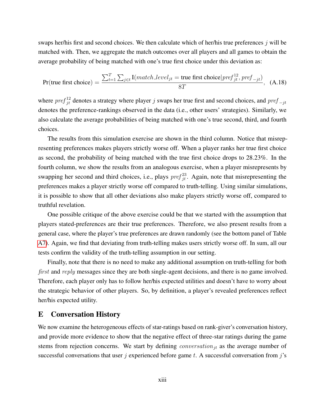swaps her/his first and second choices. We then calculate which of her/his true preferences  $j$  will be matched with. Then, we aggregate the match outcomes over all players and all games to obtain the average probability of being matched with one's true first choice under this deviation as:

$$
Pr(\text{true first choice}) = \frac{\sum_{t=1}^{T} \sum_{j \in t} I(match\_level_{jt} = \text{true first choice} |pref_{jt}^1, pref_{-jt})}{8T}, \quad (A.18)
$$

where  $pref_{jt}^{12}$  denotes a strategy where player j swaps her true first and second choices, and  $pref_{-jt}$ denotes the preference-rankings observed in the data (i.e., other users' strategies). Similarly, we also calculate the average probabilities of being matched with one's true second, third, and fourth choices.

The results from this simulation exercise are shown in the third column. Notice that misrepresenting preferences makes players strictly worse off. When a player ranks her true first choice as second, the probability of being matched with the true first choice drops to 28.23%. In the fourth column, we show the results from an analogous exercise, when a player misrepresents by swapping her second and third choices, i.e., plays  $pref_{jt}^{23}$ . Again, note that misrepresenting the preferences makes a player strictly worse off compared to truth-telling. Using similar simulations, it is possible to show that all other deviations also make players strictly worse off, compared to truthful revelation.

One possible critique of the above exercise could be that we started with the assumption that players stated-preferences are their true preferences. Therefore, we also present results from a general case, where the player's true preferences are drawn randomly (see the bottom panel of Table [A7\)](#page-11-0). Again, we find that deviating from truth-telling makes users strictly worse off. In sum, all our tests confirm the validity of the truth-telling assumption in our setting.

Finally, note that there is no need to make any additional assumption on truth-telling for both first and reply messages since they are both single-agent decisions, and there is no game involved. Therefore, each player only has to follow her/his expected utilities and doesn't have to worry about the strategic behavior of other players. So, by definition, a player's revealed preferences reflect her/his expected utility.

## E Conversation History

We now examine the heterogeneous effects of star-ratings based on rank-giver's conversation history, and provide more evidence to show that the negative effect of three-star ratings during the game stems from rejection concerns. We start by defining *conversation*<sub>it</sub> as the average number of successful conversations that user j experienced before game t. A successful conversation from j's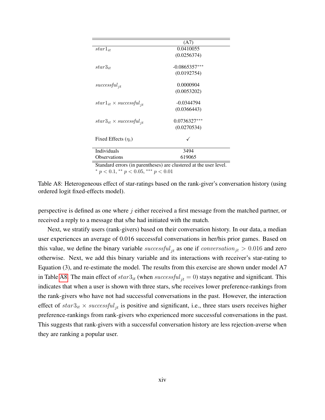<span id="page-13-0"></span>

|                                                                             | (A7)            |
|-----------------------------------------------------------------------------|-----------------|
| $star1_{it}$                                                                | 0.0410055       |
|                                                                             | (0.0256374)     |
| $star3_{it}$                                                                | $-0.0865357***$ |
|                                                                             | (0.0192754)     |
| $successful_{it}$                                                           | 0.0000904       |
|                                                                             | (0.0053202)     |
| $star1_{it} \times successful_{it}$                                         | $-0.0344794$    |
|                                                                             | (0.0366443)     |
| $star3_{it} \times successful_{it}$                                         | $0.0736327***$  |
|                                                                             | (0.0270534)     |
| Fixed Effects $(\eta_i)$                                                    |                 |
|                                                                             |                 |
| Individuals                                                                 | 3494            |
| <b>Observations</b>                                                         | 619065          |
| Other dand, announce the monometranical and alternative data that the final |                 |

Standard errors (in parentheses) are clustered at the user level. \*  $p < 0.1$ , \*\*  $p < 0.05$ , \*\*\*  $p < 0.01$ 

Table A8: Heterogeneous effect of star-ratings based on the rank-giver's conversation history (using ordered logit fixed-effects model).

perspective is defined as one where  $j$  either received a first message from the matched partner, or received a reply to a message that s/he had initiated with the match.

Next, we stratify users (rank-givers) based on their conversation history. In our data, a median user experiences an average of 0.016 successful conversations in her/his prior games. Based on this value, we define the binary variable successful<sub>it</sub> as one if conversation<sub>jt</sub>  $> 0.016$  and zero otherwise. Next, we add this binary variable and its interactions with receiver's star-rating to Equation (3), and re-estimate the model. The results from this exercise are shown under model A7 in Table [A8.](#page-13-0) The main effect of  $star3_{it}$  (when  $successful_{it} = 0)$  stays negative and significant. This indicates that when a user is shown with three stars, s/he receives lower preference-rankings from the rank-givers who have not had successful conversations in the past. However, the interaction effect of  $star3_{it} \times successful_{it}$  is positive and significant, i.e., three stars users receives higher preference-rankings from rank-givers who experienced more successful conversations in the past. This suggests that rank-givers with a successful conversation history are less rejection-averse when they are ranking a popular user.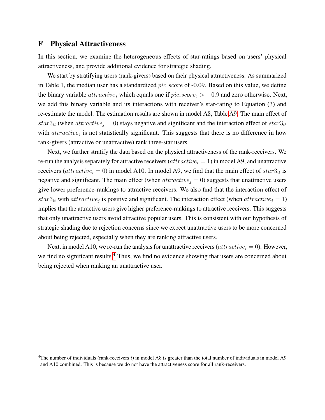## F Physical Attractiveness

In this section, we examine the heterogeneous effects of star-ratings based on users' physical attractiveness, and provide additional evidence for strategic shading.

We start by stratifying users (rank-givers) based on their physical attractiveness. As summarized in Table 1, the median user has a standardized  $pic\_score$  of  $-0.09$ . Based on this value, we define the binary variable  $attractive_j$  which equals one if  $pic\_score_j > -0.9$  and zero otherwise. Next, we add this binary variable and its interactions with receiver's star-rating to Equation (3) and re-estimate the model. The estimation results are shown in model A8, Table [A9.](#page-15-10) The main effect of star $3<sub>it</sub>$  (when  $attractive<sub>j</sub> = 0$ ) stays negative and significant and the interaction effect of star $3<sub>it</sub>$ with  $attractive<sub>j</sub>$  is not statistically significant. This suggests that there is no difference in how rank-givers (attractive or unattractive) rank three-star users.

Next, we further stratify the data based on the physical attractiveness of the rank-receivers. We re-run the analysis separately for attractive receivers  $(attractive<sub>i</sub> = 1)$  in model A9, and unattractive receivers (attractive<sub>i</sub> = 0) in model A10. In model A9, we find that the main effect of  $star3<sub>it</sub>$  is negative and significant. The main effect (when  $attractive_j = 0$ ) suggests that unattractive users give lower preference-rankings to attractive receivers. We also find that the interaction effect of  $star3<sub>it</sub>$  with  $attractive<sub>j</sub>$  is positive and significant. The interaction effect (when  $attractive<sub>j</sub> = 1$ ) implies that the attractive users give higher preference-rankings to attractive receivers. This suggests that only unattractive users avoid attractive popular users. This is consistent with our hypothesis of strategic shading due to rejection concerns since we expect unattractive users to be more concerned about being rejected, especially when they are ranking attractive users.

Next, in model A10, we re-run the analysis for unattractive receivers  $(attractive_i = 0)$ . However, we find no significant results.<sup>[4](#page-0-0)</sup> Thus, we find no evidence showing that users are concerned about being rejected when ranking an unattractive user.

<sup>&</sup>lt;sup>4</sup>The number of individuals (rank-receivers  $i$ ) in model A8 is greater than the total number of individuals in model A9 and A10 combined. This is because we do not have the attractiveness score for all rank-receivers.